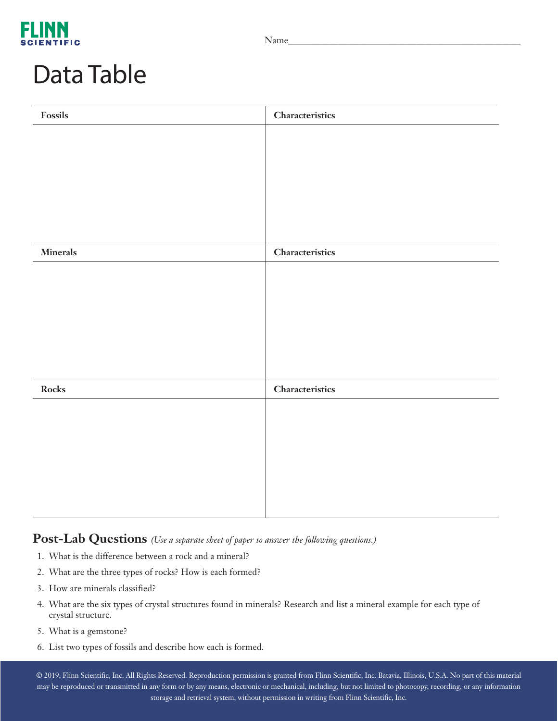

#### Data Table

| $\boldsymbol{\mathrm{F} }$ | Characteristics |
|----------------------------|-----------------|
|                            |                 |
|                            |                 |
|                            |                 |
|                            |                 |
|                            |                 |
|                            |                 |
| Minerals                   | Characteristics |
|                            |                 |
|                            |                 |
|                            |                 |
|                            |                 |
|                            |                 |
|                            |                 |
| ${\rm Rocks}$              | Characteristics |
|                            |                 |
|                            |                 |
|                            |                 |
|                            |                 |
|                            |                 |
|                            |                 |

**Post-Lab Questions** *(Use a separate sheet of paper to answer the following questions.)*

- 1. What is the difference between a rock and a mineral?
- 2. What are the three types of rocks? How is each formed?
- 3. How are minerals classified?
- 4. What are the six types of crystal structures found in minerals? Research and list a mineral example for each type of crystal structure.
- 5. What is a gemstone?
- 6. List two types of fossils and describe how each is formed.

© 2019, Flinn Scientific, Inc. All Rights Reserved. Reproduction permission is granted from Flinn Scientific, Inc. Batavia, Illinois, U.S.A. No part of this material may be reproduced or transmitted in any form or by any means, electronic or mechanical, including, but not limited to photocopy, recording, or any information storage and retrieval system, without permission in writing from Flinn Scientific, Inc.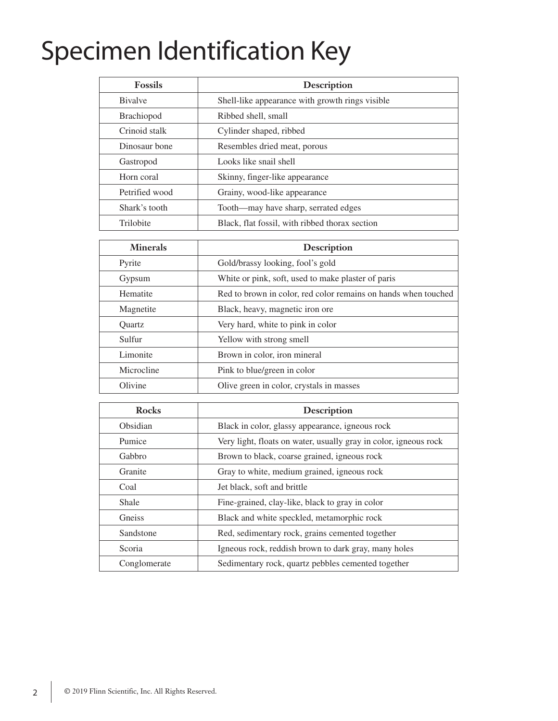# Specimen Identification Key

| <b>Fossils</b>    | Description                                     |
|-------------------|-------------------------------------------------|
| <b>B</b> ivalve   | Shell-like appearance with growth rings visible |
| <b>Brachiopod</b> | Ribbed shell, small                             |
| Crinoid stalk     | Cylinder shaped, ribbed                         |
| Dinosaur bone     | Resembles dried meat, porous                    |
| Gastropod         | Looks like snail shell                          |
| Horn coral        | Skinny, finger-like appearance                  |
| Petrified wood    | Grainy, wood-like appearance                    |
| Shark's tooth     | Tooth-may have sharp, serrated edges            |
| Trilobite         | Black, flat fossil, with ribbed thorax section  |

| <b>Minerals</b> | <b>Description</b>                                             |
|-----------------|----------------------------------------------------------------|
| Pyrite          | Gold/brassy looking, fool's gold                               |
| Gypsum          | White or pink, soft, used to make plaster of paris             |
| Hematite        | Red to brown in color, red color remains on hands when touched |
| Magnetite       | Black, heavy, magnetic iron ore                                |
| Ouartz          | Very hard, white to pink in color                              |
| Sulfur          | Yellow with strong smell                                       |
| Limonite        | Brown in color, iron mineral                                   |
| Microcline      | Pink to blue/green in color                                    |
| Olivine         | Olive green in color, crystals in masses                       |

| <b>Rocks</b> | <b>Description</b>                                               |
|--------------|------------------------------------------------------------------|
| Obsidian     | Black in color, glassy appearance, igneous rock                  |
| Pumice       | Very light, floats on water, usually gray in color, igneous rock |
| Gabbro       | Brown to black, coarse grained, igneous rock                     |
| Granite      | Gray to white, medium grained, igneous rock                      |
| Coal         | Jet black, soft and brittle                                      |
| Shale        | Fine-grained, clay-like, black to gray in color                  |
| Gneiss       | Black and white speckled, metamorphic rock                       |
| Sandstone    | Red, sedimentary rock, grains cemented together                  |
| Scoria       | Igneous rock, reddish brown to dark gray, many holes             |
| Conglomerate | Sedimentary rock, quartz pebbles cemented together               |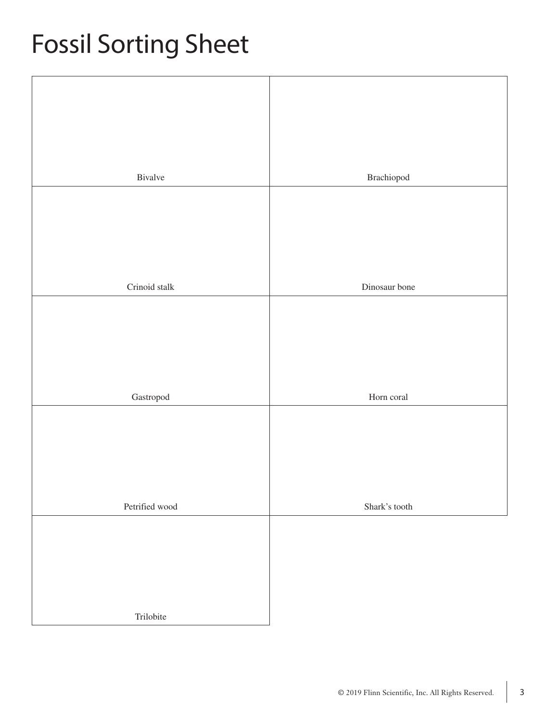# Fossil Sorting Sheet

| Bivalve                    | $\bf Brachiopod$ |
|----------------------------|------------------|
|                            |                  |
|                            |                  |
|                            |                  |
|                            |                  |
| Crinoid stalk              | Dinosaur bone    |
|                            |                  |
|                            |                  |
|                            |                  |
|                            |                  |
|                            |                  |
| $\operatorname{Gastropod}$ | Horn coral       |
|                            |                  |
|                            |                  |
|                            |                  |
|                            |                  |
|                            |                  |
| Petrified wood             | Shark's tooth    |
|                            |                  |
|                            |                  |
|                            |                  |
|                            |                  |
|                            |                  |
| Trilobite                  |                  |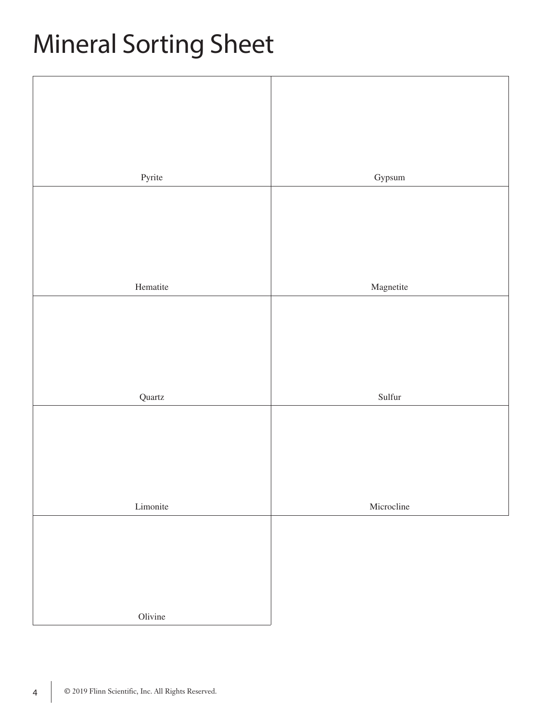# Mineral Sorting Sheet

| Pyrite   |                 |
|----------|-----------------|
|          | Gypsum          |
|          |                 |
|          |                 |
|          |                 |
|          |                 |
|          |                 |
| Hematite | Magnetite       |
|          |                 |
|          |                 |
|          |                 |
|          |                 |
|          |                 |
| Quartz   | $\text{Sulfur}$ |
|          |                 |
|          |                 |
|          |                 |
|          |                 |
|          |                 |
|          |                 |
|          | Microcline      |
|          |                 |
|          |                 |
|          |                 |
|          |                 |
|          |                 |
| Olivine  |                 |